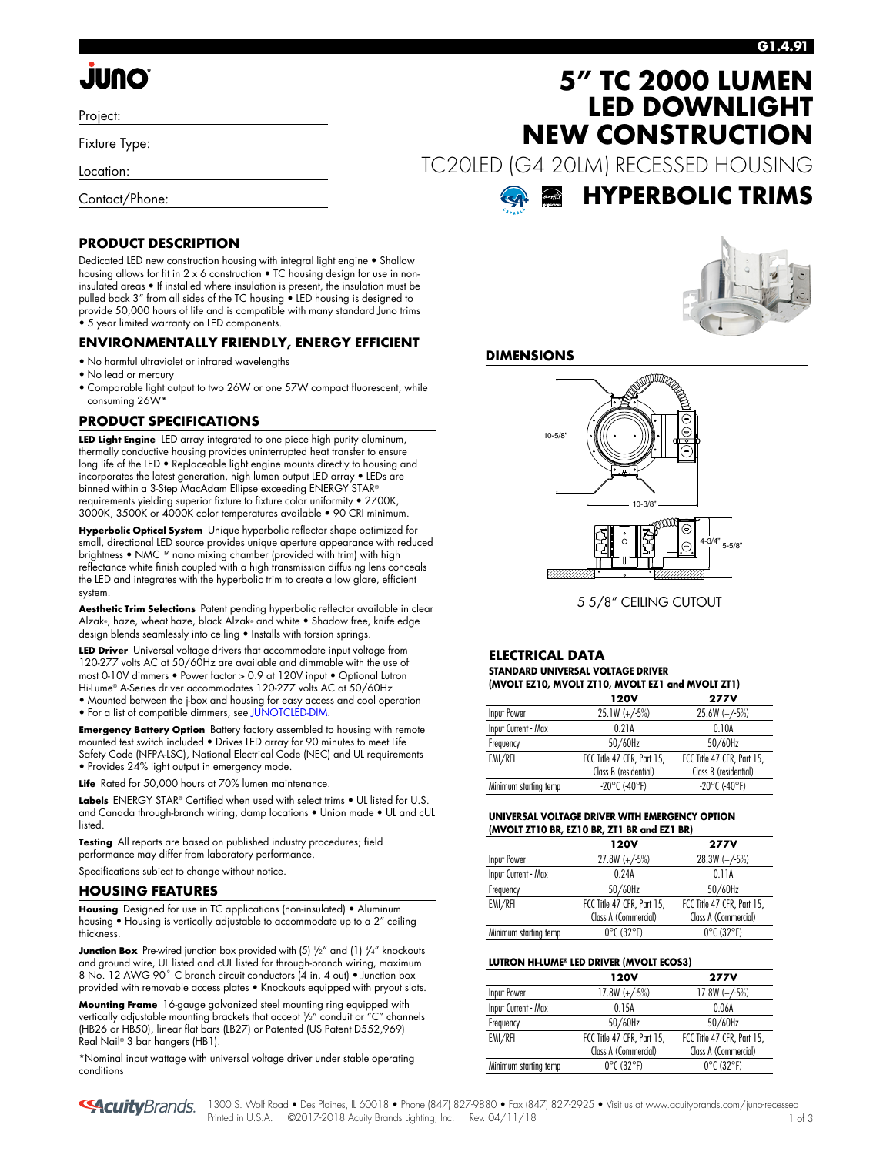# **JUNO**

Project:

Fixture Type:

Location:

Contact/Phone:

## **5" TC 2000 LUMEN LED DOWNLIGHT NEW CONSTRUCTION**

TC20LED (G4 20LM) RECESSED HOUSING



### **PRODUCT DESCRIPTION**

Dedicated LED new construction housing with integral light engine • Shallow housing allows for fit in 2 x 6 construction • TC housing design for use in noninsulated areas • If installed where insulation is present, the insulation must be pulled back 3" from all sides of the TC housing • LED housing is designed to provide 50,000 hours of life and is compatible with many standard Juno trims • 5 year limited warranty on LED components.

### **ENVIRONMENTALLY FRIENDLY, ENERGY EFFICIENT**

- No harmful ultraviolet or infrared wavelengths
- No lead or mercury
- Comparable light output to two 26W or one 57W compact fluorescent, while consuming 26W\*

### **PRODUCT SPECIFICATIONS**

**LED Light Engine** LED array integrated to one piece high purity aluminum, thermally conductive housing provides uninterrupted heat transfer to ensure long life of the LED • Replaceable light engine mounts directly to housing and incorporates the latest generation, high lumen output LED array • LEDs are binned within a 3-Step MacAdam Ellipse exceeding ENERGY STAR® requirements yielding superior fixture to fixture color uniformity • 2700K, 3000K, 3500K or 4000K color temperatures available • 90 CRI minimum.

**Hyperbolic Optical System** Unique hyperbolic reflector shape optimized for small, directional LED source provides unique aperture appearance with reduced brightness • NMC™ nano mixing chamber (provided with trim) with high reflectance white finish coupled with a high transmission diffusing lens conceals the LED and integrates with the hyperbolic trim to create a low glare, efficient system.

**Aesthetic Trim Selections** Patent pending hyperbolic reflector available in clear Alzak®, haze, wheat haze, black Alzak® and white • Shadow free, knife edge design blends seamlessly into ceiling • Installs with torsion springs.

**LED Driver** Universal voltage drivers that accommodate input voltage from 120-277 volts AC at 50/60Hz are available and dimmable with the use of most 0-10V dimmers • Power factor > 0.9 at 120V input • Optional Lutron Hi-Lume® A-Series driver accommodates 120-277 volts AC at 50/60Hz • Mounted between the j-box and housing for easy access and cool operation

• For a list of compatible dimmers, se[e JUNOTCLED-DIM.](http://www.acuitybrands.com/shell/-/media/Files/Acuity/Other/JUNOTCLED-DIM.pdf)

**Emergency Battery Option** Battery factory assembled to housing with remote mounted test switch included • Drives LED array for 90 minutes to meet Life Safety Code (NFPA-LSC), National Electrical Code (NEC) and UL requirements • Provides 24% light output in emergency mode.

Life Rated for 50,000 hours at 70% lumen maintenance.

Labels ENERGY STAR® Certified when used with select trims . UL listed for U.S. and Canada through-branch wiring, damp locations • Union made • UL and cUL listed.

**Testing** All reports are based on published industry procedures; field performance may differ from laboratory performance.

Specifications subject to change without notice.

### **HOUSING FEATURES**

**Housing** Designed for use in TC applications (non-insulated) • Aluminum housing • Housing is vertically adjustable to accommodate up to a 2" ceiling thickness.

**Junction Box** Pre-wired junction box provided with (5)  $\frac{1}{2}$ " and (1)  $\frac{3}{4}$ " knockouts and ground wire, UL listed and cUL listed for through-branch wiring, maximum 8 No. 12 AWG 90° C branch circuit conductors (4 in, 4 out) • Junction box provided with removable access plates • Knockouts equipped with pryout slots.

**Mounting Frame** 16-gauge galvanized steel mounting ring equipped with vertically adjustable mounting brackets that accept 1 /2" conduit or "C" channels (HB26 or HB50), linear flat bars (LB27) or Patented (US Patent D552,969) Real Nail® 3 bar hangers (HB1).

\*Nominal input wattage with universal voltage driver under stable operating conditions



### **DIMENSIONS**



5 5/8" CEILING CUTOUT

#### **ELECTRICAL DATA STANDARD UNIVERSAL VOLTAGE DRIVER (MVOLT EZ10, MVOLT ZT10, MVOLT EZ1 and MVOLT ZT1)**

| $(III)$ with the state $(0, III)$ in the state of the state $(III)$ |                            |  |  |  |  |
|---------------------------------------------------------------------|----------------------------|--|--|--|--|
| 120V                                                                | <b>277V</b>                |  |  |  |  |
| $25.1W (+/-5%)$                                                     | $25.6W (+/-5%)$            |  |  |  |  |
| 0.21A                                                               | 0.10A                      |  |  |  |  |
| 50/60Hz                                                             | 50/60Hz                    |  |  |  |  |
| FCC Title 47 CFR, Part 15,                                          | FCC Title 47 CFR, Part 15, |  |  |  |  |
| Class B (residential)                                               | Class B (residential)      |  |  |  |  |
| $-20^{\circ}$ C (-40°F)                                             | $-20^{\circ}$ C (-40°F)    |  |  |  |  |
|                                                                     |                            |  |  |  |  |

#### **UNIVERSAL VOLTAGE DRIVER WITH EMERGENCY OPTION (MVOLT ZT10 BR, EZ10 BR, ZT1 BR and EZ1 BR)**

| <b>120V</b>                     | <b>277V</b>                     |
|---------------------------------|---------------------------------|
| $27.8W (+/-5%)$                 | $28.3W (+/-5%)$                 |
| 0.24A                           | 0.11A                           |
| 50/60Hz                         | 50/60Hz                         |
| FCC Title 47 CFR, Part 15,      | FCC Title 47 CFR, Part 15,      |
| Class A (Commercial)            | Class A (Commercial)            |
| $0^{\circ}$ C (32 $^{\circ}$ F) | $0^{\circ}$ C (32 $^{\circ}$ F) |
|                                 |                                 |

### **LUTRON HI-LUME® LED DRIVER (MVOLT ECOS3)**

|                       | 120V                            | <b>277V</b>                     |
|-----------------------|---------------------------------|---------------------------------|
| Input Power           | $17.8W (+/-5%)$                 | $17.8W (+/-5%)$                 |
| Input Current - Max   | 0 15A                           | 0.06A                           |
| Frequency             | 50/60Hz                         | 50/60Hz                         |
| EMI/RFI               | FCC Title 47 CFR, Part 15,      | FCC Title 47 CFR, Part 15,      |
|                       | Class A (Commercial)            | Class A (Commercial)            |
| Minimum starting temp | $0^{\circ}$ C (32 $^{\circ}$ F) | $0^{\circ}$ C (32 $^{\circ}$ F) |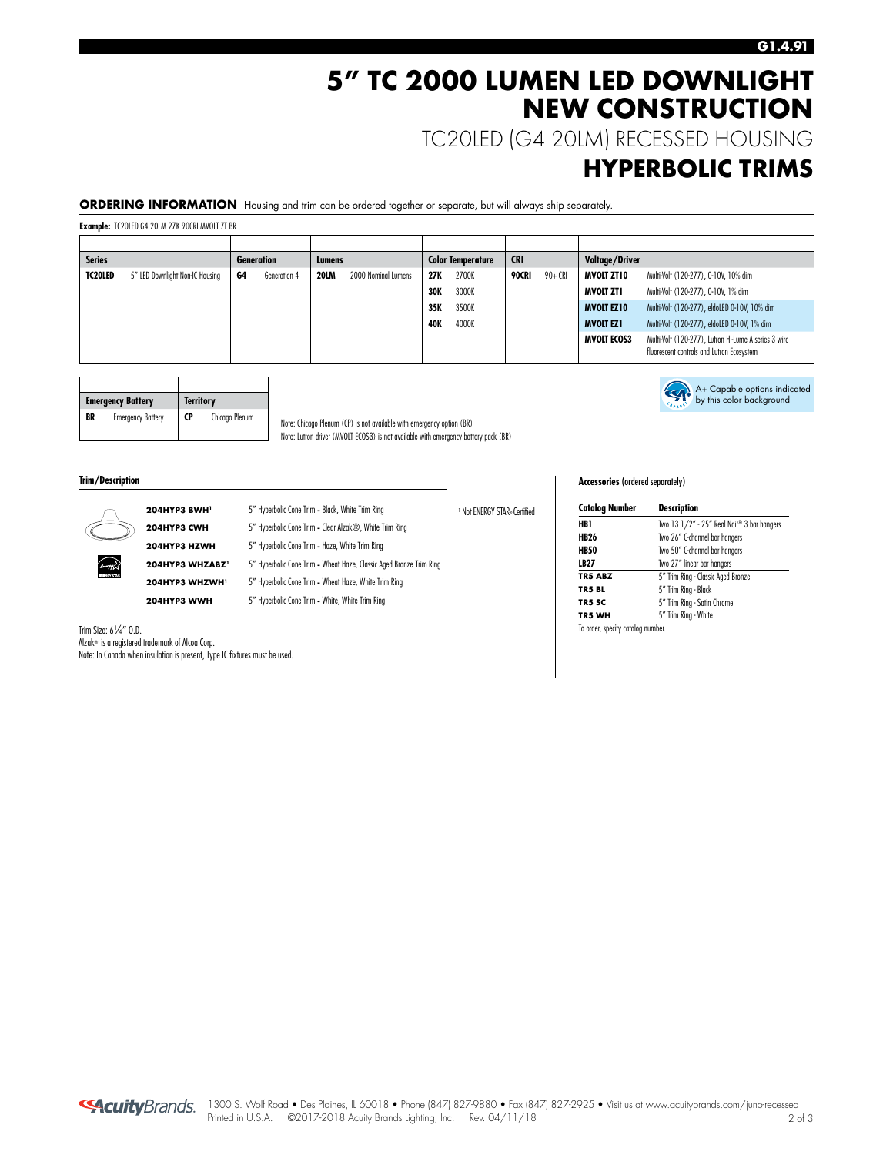## **5" TC 2000 LUMEN LED DOWNLIGHT NEW CONSTRUCTION**

TC20LED (G4 20LM) RECESSED HOUSING

### **HYPERBOLIC TRIMS**

A+ Capable options indicated by this color background

**ORDERING INFORMATION** Housing and trim can be ordered together or separate, but will always ship separately.

**Example:** TC20LED G4 20LM 27K 90CRI MVOLT ZT BR

| <b>Series</b>  |                                 |    | <b>Generation</b> | Lumens      |                     |            | <b>Color Temperature</b> | <b>CRI</b> |          | <b>Voltage/Driver</b> |                                                                                                   |
|----------------|---------------------------------|----|-------------------|-------------|---------------------|------------|--------------------------|------------|----------|-----------------------|---------------------------------------------------------------------------------------------------|
| <b>TC20LED</b> | 5" LED Downlight Non-IC Housing | G4 | Generation 4      | <b>20LM</b> | 2000 Nominal Lumens | 27K        | 2700K                    | 90CRI      | $90+CRI$ | <b>MVOLT ZT10</b>     | Multi-Volt (120-277), 0-10V, 10% dim                                                              |
|                |                                 |    |                   |             |                     | <b>30K</b> | 3000K                    |            |          | MVOLT ZT1             | Multi-Volt (120-277), 0-10V, 1% dim                                                               |
|                |                                 |    |                   |             |                     | 35K        | 3500K                    |            |          | <b>MVOLT EZ10</b>     | Multi-Volt (120-277), eldoLED 0-10V, 10% dim                                                      |
|                |                                 |    |                   |             |                     | 40K        | 4000K                    |            |          | <b>MVOLT EZ1</b>      | Multi-Volt (120-277), eldoLED 0-10V, 1% dim                                                       |
|                |                                 |    |                   |             |                     |            |                          |            |          | <b>MVOLT ECOS3</b>    | Multi-Volt (120-277), Lutron Hi-Lume A series 3 wire<br>fluorescent controls and Lutron Ecosystem |

<sup>1</sup> Not ENERGY STAR® Certified

|    | <b>Emergency Battery</b> |           | <b>Territory</b> |  |
|----|--------------------------|-----------|------------------|--|
| BR | <b>Emergency Battery</b> | <b>CP</b> | Chicago Plenum   |  |

Note: Chicago Plenum (CP) is not available with emergency option (BR) Note: Lutron driver (MVOLT ECOS3) is not available with emergency battery pack (BR)

**Trim/Description** 



**204HYP3 CWH** 5" Hyperbolic Cone Trim **-** Clear Alzak®, White Trim Ring

**204HYP3 HZWH** 5" Hyperbolic Cone Trim **-** Haze, White Trim Ring

**204HYP3 WHZABZ1** 5" Hyperbolic Cone Trim **-** Wheat Haze, Classic Aged Bronze Trim Ring

**204HYP3 WHZWH1** 5" Hyperbolic Cone Trim **-** Wheat Haze, White Trim Ring

**204HYP3 WWH** 5" Hyperbolic Cone Trim **-** White, White Trim Ring

### **Accessories** (ordered separately)

| <b>Catalog Number</b>             | <b>Description</b>                         |
|-----------------------------------|--------------------------------------------|
| HB 1                              | Two 13 1/2" - 25" Real Nail® 3 bar hangers |
| <b>HB26</b>                       | Two 26" C-channel bar hangers              |
| <b>HB50</b>                       | Two 50" C-channel bar hangers              |
| LB27                              | Two 27" linear bar hangers                 |
| <b>TR5 ABZ</b>                    | 5" Trim Ring - Classic Aged Bronze         |
| TR5 BL                            | 5" Trim Ring - Black                       |
| TR5 SC                            | 5" Trim Ring - Satin Chrome                |
| TR5 WH                            | 5" Trim Ring - White                       |
| To order, specify catalog number. |                                            |

Trim Size: 6<sup>1</sup> ⁄4" O.D. Alzak® is a registered trademark of Alcoa Corp. Note: In Canada when insulation is present, Type IC fixtures must be used.